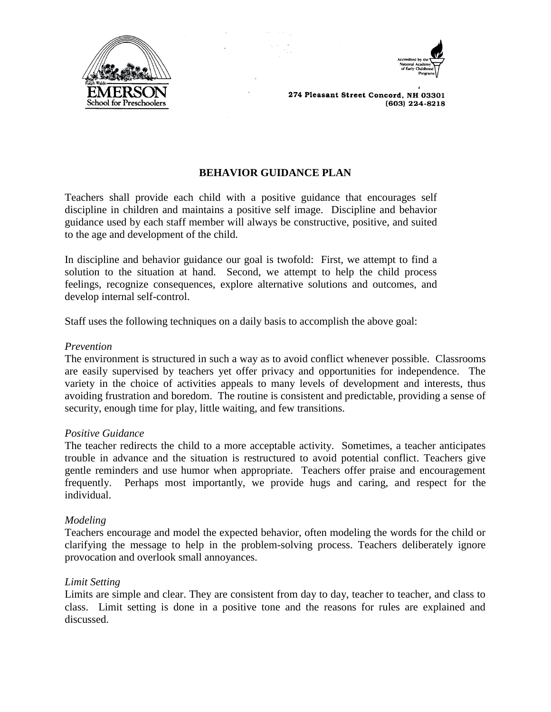



# **BEHAVIOR GUIDANCE PLAN**

Teachers shall provide each child with a positive guidance that encourages self discipline in children and maintains a positive self image. Discipline and behavior guidance used by each staff member will always be constructive, positive, and suited to the age and development of the child.

In discipline and behavior guidance our goal is twofold: First, we attempt to find a solution to the situation at hand. Second, we attempt to help the child process feelings, recognize consequences, explore alternative solutions and outcomes, and develop internal self-control.

Staff uses the following techniques on a daily basis to accomplish the above goal:

#### *Prevention*

The environment is structured in such a way as to avoid conflict whenever possible. Classrooms are easily supervised by teachers yet offer privacy and opportunities for independence. The variety in the choice of activities appeals to many levels of development and interests, thus avoiding frustration and boredom. The routine is consistent and predictable, providing a sense of security, enough time for play, little waiting, and few transitions.

#### *Positive Guidance*

The teacher redirects the child to a more acceptable activity. Sometimes, a teacher anticipates trouble in advance and the situation is restructured to avoid potential conflict. Teachers give gentle reminders and use humor when appropriate. Teachers offer praise and encouragement frequently. Perhaps most importantly, we provide hugs and caring, and respect for the individual.

### *Modeling*

Teachers encourage and model the expected behavior, often modeling the words for the child or clarifying the message to help in the problem-solving process. Teachers deliberately ignore provocation and overlook small annoyances.

### *Limit Setting*

Limits are simple and clear. They are consistent from day to day, teacher to teacher, and class to class. Limit setting is done in a positive tone and the reasons for rules are explained and discussed.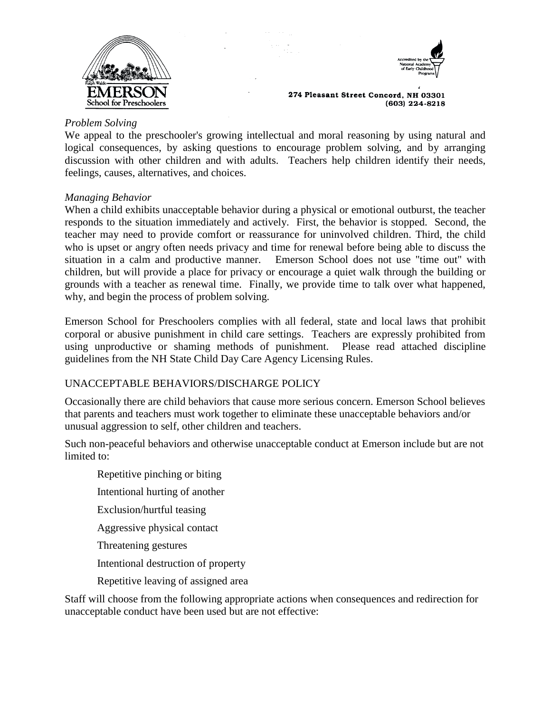



# *Problem Solving*

We appeal to the preschooler's growing intellectual and moral reasoning by using natural and logical consequences, by asking questions to encourage problem solving, and by arranging discussion with other children and with adults. Teachers help children identify their needs, feelings, causes, alternatives, and choices.

### *Managing Behavior*

When a child exhibits unacceptable behavior during a physical or emotional outburst, the teacher responds to the situation immediately and actively. First, the behavior is stopped. Second, the teacher may need to provide comfort or reassurance for uninvolved children. Third, the child who is upset or angry often needs privacy and time for renewal before being able to discuss the situation in a calm and productive manner. Emerson School does not use "time out" with children, but will provide a place for privacy or encourage a quiet walk through the building or grounds with a teacher as renewal time. Finally, we provide time to talk over what happened, why, and begin the process of problem solving.

Emerson School for Preschoolers complies with all federal, state and local laws that prohibit corporal or abusive punishment in child care settings. Teachers are expressly prohibited from using unproductive or shaming methods of punishment. Please read attached discipline guidelines from the NH State Child Day Care Agency Licensing Rules.

## UNACCEPTABLE BEHAVIORS/DISCHARGE POLICY

Occasionally there are child behaviors that cause more serious concern. Emerson School believes that parents and teachers must work together to eliminate these unacceptable behaviors and/or unusual aggression to self, other children and teachers.

Such non-peaceful behaviors and otherwise unacceptable conduct at Emerson include but are not limited to:

- Repetitive pinching or biting
- Intentional hurting of another
- Exclusion/hurtful teasing
- Aggressive physical contact
- Threatening gestures
- Intentional destruction of property
- Repetitive leaving of assigned area

Staff will choose from the following appropriate actions when consequences and redirection for unacceptable conduct have been used but are not effective: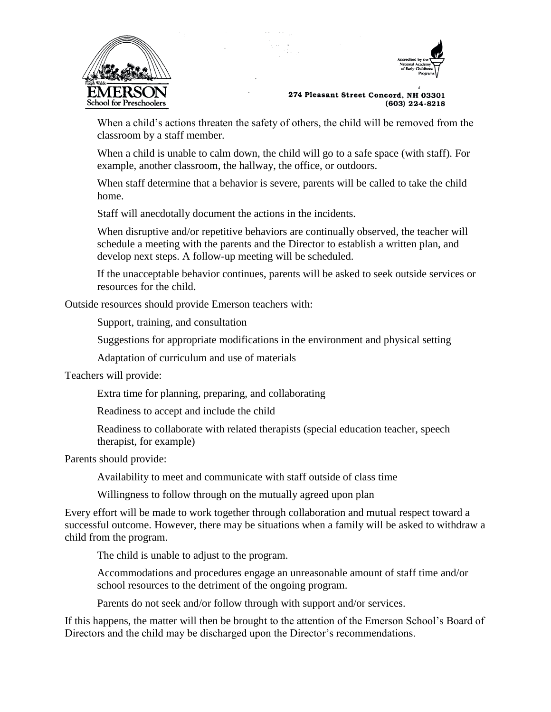



When a child's actions threaten the safety of others, the child will be removed from the classroom by a staff member.

When a child is unable to calm down, the child will go to a safe space (with staff). For example, another classroom, the hallway, the office, or outdoors.

When staff determine that a behavior is severe, parents will be called to take the child home.

Staff will anecdotally document the actions in the incidents.

When disruptive and/or repetitive behaviors are continually observed, the teacher will schedule a meeting with the parents and the Director to establish a written plan, and develop next steps. A follow-up meeting will be scheduled.

If the unacceptable behavior continues, parents will be asked to seek outside services or resources for the child.

Outside resources should provide Emerson teachers with:

Support, training, and consultation

Suggestions for appropriate modifications in the environment and physical setting

Adaptation of curriculum and use of materials

Teachers will provide:

Extra time for planning, preparing, and collaborating

Readiness to accept and include the child

Readiness to collaborate with related therapists (special education teacher, speech therapist, for example)

Parents should provide:

Availability to meet and communicate with staff outside of class time

Willingness to follow through on the mutually agreed upon plan

Every effort will be made to work together through collaboration and mutual respect toward a successful outcome. However, there may be situations when a family will be asked to withdraw a child from the program.

The child is unable to adjust to the program.

Accommodations and procedures engage an unreasonable amount of staff time and/or school resources to the detriment of the ongoing program.

Parents do not seek and/or follow through with support and/or services.

If this happens, the matter will then be brought to the attention of the Emerson School's Board of Directors and the child may be discharged upon the Director's recommendations.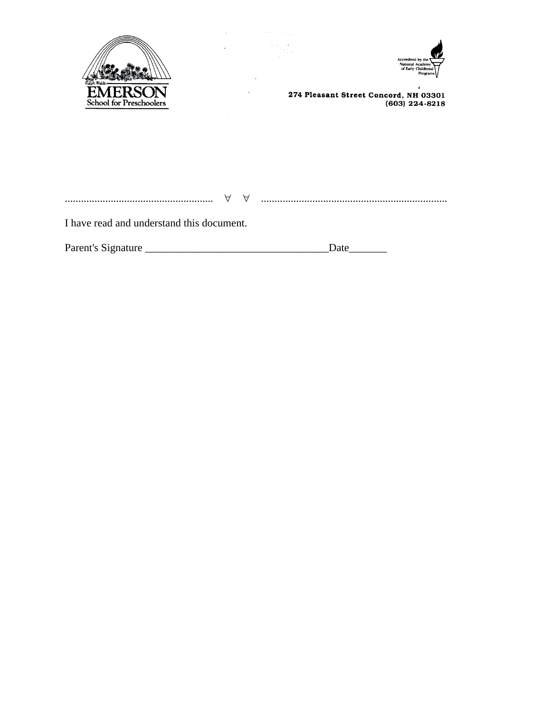



274 Pleasant Street Concord, NH 03301<br>603) 224-8218)

I have read and understand this document.